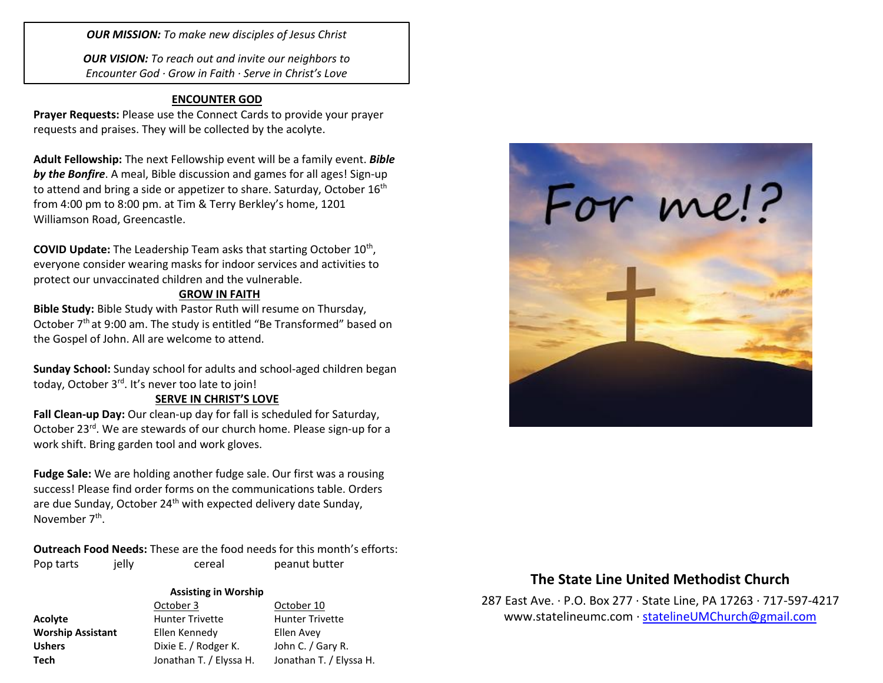*OUR MISSION: To make new disciples of Jesus Christ*

*OUR VISION: To reach out and invite our neighbors to Encounter God · Grow in Faith · Serve in Christ's Love*

### **ENCOUNTER GOD**

**Prayer Requests:** Please use the Connect Cards to provide your prayer requests and praises. They will be collected by the acolyte.

**Adult Fellowship:** The next Fellowship event will be a family event. *Bible by the Bonfire*. A meal, Bible discussion and games for all ages! Sign-up to attend and bring a side or appetizer to share. Saturday, October 16<sup>th</sup> from 4:00 pm to 8:00 pm. at Tim & Terry Berkley's home, 1201 Williamson Road, Greencastle.

COVID Update: The Leadership Team asks that starting October 10<sup>th</sup>, everyone consider wearing masks for indoor services and activities to protect our unvaccinated children and the vulnerable.

### **GROW IN FAITH**

**Bible Study:** Bible Study with Pastor Ruth will resume on Thursday, October 7<sup>th</sup> at 9:00 am. The study is entitled "Be Transformed" based on the Gospel of John. All are welcome to attend.

**Sunday School:** Sunday school for adults and school-aged children began today, October 3<sup>rd</sup>. It's never too late to join!

## **SERVE IN CHRIST'S LOVE**

**Fall Clean-up Day:** Our clean-up day for fall is scheduled for Saturday, October 23rd. We are stewards of our church home. Please sign-up for a work shift. Bring garden tool and work gloves.

**Fudge Sale:** We are holding another fudge sale. Our first was a rousing success! Please find order forms on the communications table. Orders are due Sunday, October 24<sup>th</sup> with expected delivery date Sunday, November 7<sup>th</sup>.

**Outreach Food Needs:** These are the food needs for this month's efforts: Pop tarts ielly cereal peanut butter

#### **Assisting in Worship**

|                          | October 3               | October 10              |
|--------------------------|-------------------------|-------------------------|
| Acolyte                  | <b>Hunter Trivette</b>  | <b>Hunter Trivette</b>  |
| <b>Worship Assistant</b> | Ellen Kennedy           | Ellen Avey              |
| <b>Ushers</b>            | Dixie E. / Rodger K.    | John C. / Gary R.       |
| <b>Tech</b>              | Jonathan T. / Elyssa H. | Jonathan T. / Elyssa H. |



## **The State Line United Methodist Church**

287 East Ave. · P.O. Box 277 · State Line, PA 17263 · 717-597-4217 [www.statelineumc.com](http://www.statelineumc.com/) · [statelineUMChurch@gmail.com](mailto:statelineUMChurch@gmail.com)